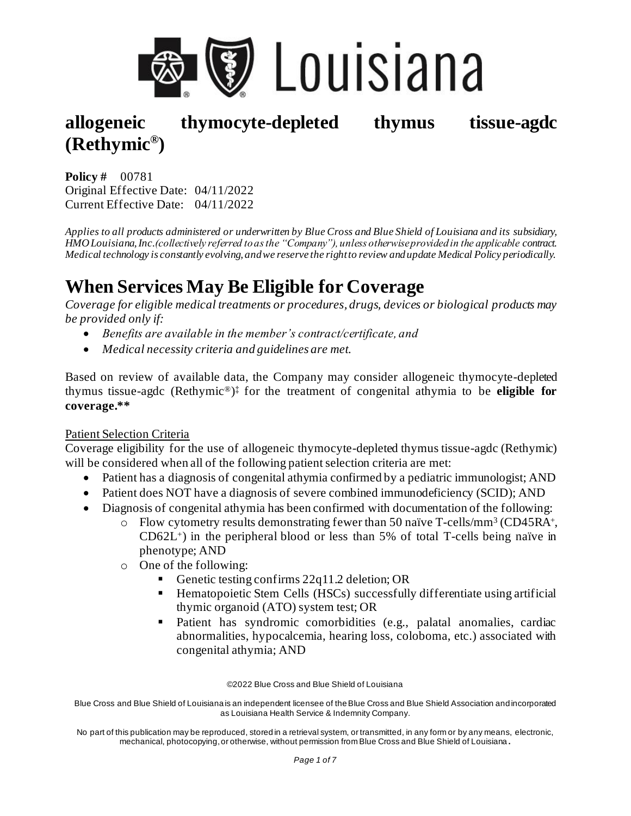

**Policy #** 00781 Original Effective Date: 04/11/2022 Current Effective Date: 04/11/2022

*Applies to all products administered or underwritten by Blue Cross and Blue Shield of Louisiana and its subsidiary, HMO Louisiana, Inc.(collectively referred to as the "Company"), unless otherwise provided in the applicable contract. Medical technology is constantly evolving, and we reserve the right to review and update Medical Policy periodically.*

# **When Services May Be Eligible for Coverage**

*Coverage for eligible medical treatments or procedures, drugs, devices or biological products may be provided only if:* 

- *Benefits are available in the member's contract/certificate, and*
- *Medical necessity criteria and guidelines are met.*

Based on review of available data, the Company may consider allogeneic thymocyte-depleted thymus tissue-agdc (Rethymic®) ‡ for the treatment of congenital athymia to be **eligible for coverage.\*\***

#### Patient Selection Criteria

Coverage eligibility for the use of allogeneic thymocyte-depleted thymus tissue-agdc (Rethymic) will be considered when all of the following patient selection criteria are met:

- Patient has a diagnosis of congenital athymia confirmed by a pediatric immunologist; AND
- Patient does NOT have a diagnosis of severe combined immunodeficiency (SCID); AND
- Diagnosis of congenital athymia has been confirmed with documentation of the following:
	- o Flow cytometry results demonstrating fewer than 50 naïve T-cells/mm<sup>3</sup> (CD45RA<sup>+</sup>,  $CD62L<sup>+</sup>$ ) in the peripheral blood or less than 5% of total T-cells being naïve in phenotype; AND
	- o One of the following:
		- Genetic testing confirms 22q11.2 deletion; OR
		- Hematopoietic Stem Cells (HSCs) successfully differentiate using artificial thymic organoid (ATO) system test; OR
		- Patient has syndromic comorbidities (e.g., palatal anomalies, cardiac abnormalities, hypocalcemia, hearing loss, coloboma, etc.) associated with congenital athymia; AND

©2022 Blue Cross and Blue Shield of Louisiana

Blue Cross and Blue Shield of Louisiana is an independent licensee of the Blue Cross and Blue Shield Association and incorporated as Louisiana Health Service & Indemnity Company.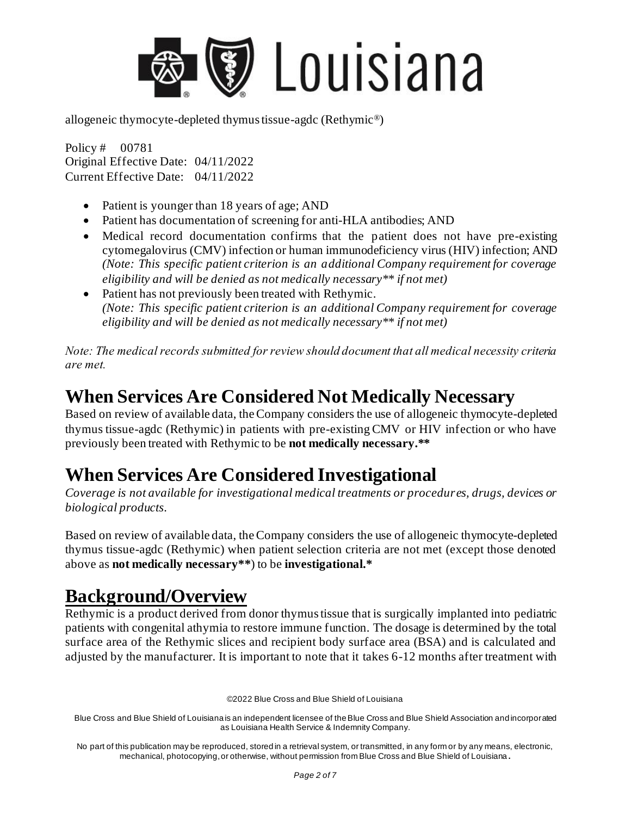

Policy # 00781 Original Effective Date: 04/11/2022 Current Effective Date: 04/11/2022

- Patient is younger than 18 years of age; AND
- Patient has documentation of screening for anti-HLA antibodies; AND
- Medical record documentation confirms that the patient does not have pre-existing cytomegalovirus (CMV) infection or human immunodeficiency virus (HIV) infection; AND *(Note: This specific patient criterion is an additional Company requirement for coverage eligibility and will be denied as not medically necessary\*\* if not met)*
- Patient has not previously been treated with Rethymic. *(Note: This specific patient criterion is an additional Company requirement for coverage eligibility and will be denied as not medically necessary\*\* if not met)*

*Note: The medical records submitted for review should document that all medical necessity criteria are met.* 

## **When Services Are Considered Not Medically Necessary**

Based on review of available data, the Company considers the use of allogeneic thymocyte-depleted thymus tissue-agdc (Rethymic) in patients with pre-existing CMV or HIV infection or who have previously been treated with Rethymic to be **not medically necessary.\*\***

### **When Services Are Considered Investigational**

*Coverage is not available for investigational medical treatments or procedures, drugs, devices or biological products.* 

Based on review of available data, the Company considers the use of allogeneic thymocyte-depleted thymus tissue-agdc (Rethymic) when patient selection criteria are not met (except those denoted above as **not medically necessary\*\***) to be **investigational.\***

## **Background/Overview**

Rethymic is a product derived from donor thymus tissue that is surgically implanted into pediatric patients with congenital athymia to restore immune function. The dosage is determined by the total surface area of the Rethymic slices and recipient body surface area (BSA) and is calculated and adjusted by the manufacturer. It is important to note that it takes 6-12 months after treatment with

©2022 Blue Cross and Blue Shield of Louisiana

Blue Cross and Blue Shield of Louisiana is an independent licensee of the Blue Cross and Blue Shield Association and incorporated as Louisiana Health Service & Indemnity Company.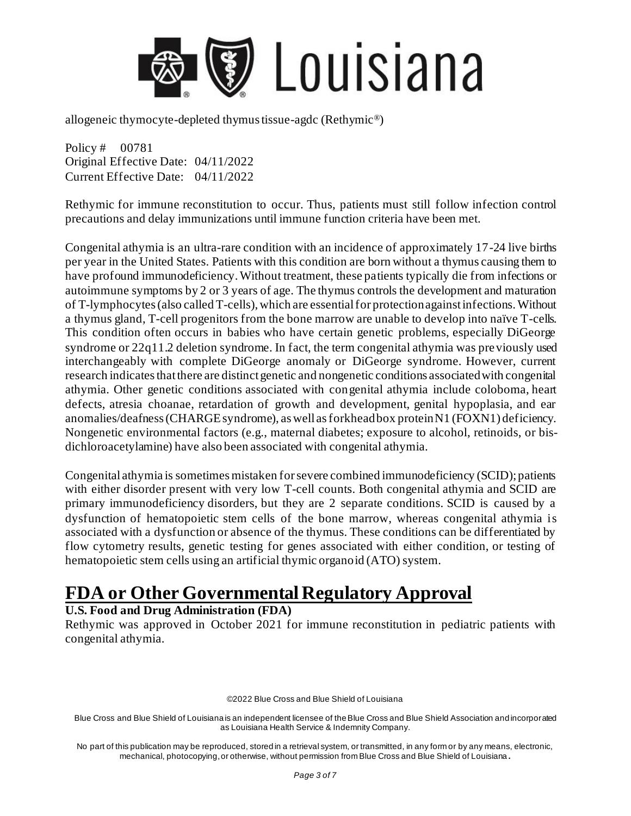

Policy # 00781 Original Effective Date: 04/11/2022 Current Effective Date: 04/11/2022

Rethymic for immune reconstitution to occur. Thus, patients must still follow infection control precautions and delay immunizations until immune function criteria have been met.

Congenital athymia is an ultra-rare condition with an incidence of approximately 17-24 live births per year in the United States. Patients with this condition are born without a thymus causing them to have profound immunodeficiency. Without treatment, these patients typically die from infections or autoimmune symptoms by 2 or 3 years of age. The thymus controls the development and maturation of T-lymphocytes (also called T-cells), which are essential for protection against infections. Without a thymus gland, T-cell progenitors from the bone marrow are unable to develop into naïve T-cells. This condition often occurs in babies who have certain genetic problems, especially DiGeorge syndrome or 22q11.2 deletion syndrome. In fact, the term congenital athymia was previously used interchangeably with complete DiGeorge anomaly or DiGeorge syndrome. However, current research indicates that there are distinct genetic and nongenetic conditions associated with congenital athymia. Other genetic conditions associated with congenital athymia include coloboma, heart defects, atresia choanae, retardation of growth and development, genital hypoplasia, and ear anomalies/deafness (CHARGE syndrome), as well as forkhead box protein N1 (FOXN1) deficiency. Nongenetic environmental factors (e.g., maternal diabetes; exposure to alcohol, retinoids, or bisdichloroacetylamine) have also been associated with congenital athymia.

Congenital athymia is sometimes mistaken for severe combined immunodeficiency (SCID); patients with either disorder present with very low T-cell counts. Both congenital athymia and SCID are primary immunodeficiency disorders, but they are 2 separate conditions. SCID is caused by a dysfunction of hematopoietic stem cells of the bone marrow, whereas congenital athymia is associated with a dysfunction or absence of the thymus. These conditions can be differentiated by flow cytometry results, genetic testing for genes associated with either condition, or testing of hematopoietic stem cells using an artificial thymic organoid (ATO) system.

# **FDA or Other Governmental Regulatory Approval**

#### **U.S. Food and Drug Administration (FDA)**

Rethymic was approved in October 2021 for immune reconstitution in pediatric patients with congenital athymia.

©2022 Blue Cross and Blue Shield of Louisiana

Blue Cross and Blue Shield of Louisiana is an independent licensee of the Blue Cross and Blue Shield Association and incorporated as Louisiana Health Service & Indemnity Company.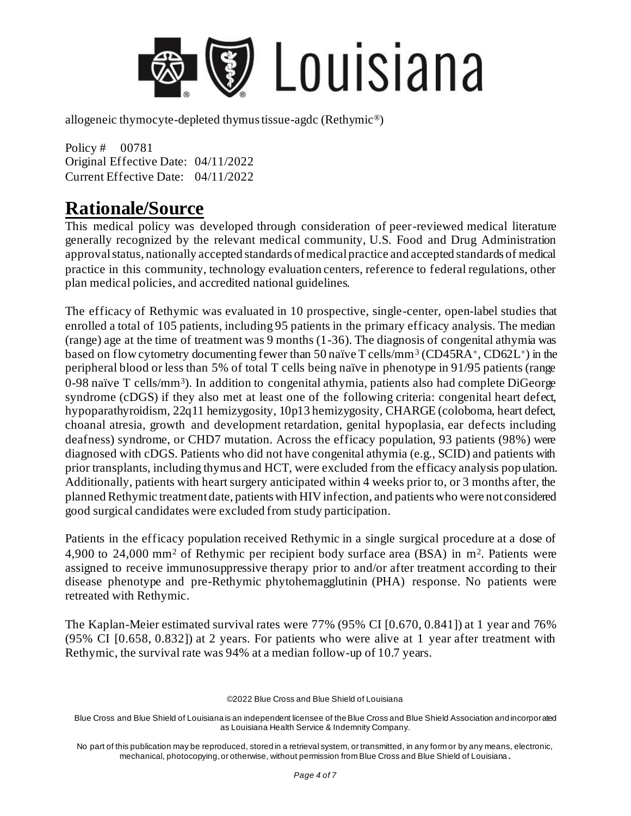

Policy # 00781 Original Effective Date: 04/11/2022 Current Effective Date: 04/11/2022

### **Rationale/Source**

This medical policy was developed through consideration of peer-reviewed medical literature generally recognized by the relevant medical community, U.S. Food and Drug Administration approval status, nationally accepted standards of medical practice and accepted standards of medical practice in this community, technology evaluation centers, reference to federal regulations, other plan medical policies, and accredited national guidelines.

The efficacy of Rethymic was evaluated in 10 prospective, single-center, open-label studies that enrolled a total of 105 patients, including 95 patients in the primary efficacy analysis. The median (range) age at the time of treatment was 9 months (1-36). The diagnosis of congenital athymia was based on flow cytometry documenting fewer than 50 naïve  $T$  cells/mm<sup>3</sup> (CD45RA<sup>+</sup>, CD62L<sup>+</sup>) in the peripheral blood or less than 5% of total T cells being naïve in phenotype in 91/95 patients (range 0-98 naïve T cells/mm<sup>3</sup>). In addition to congenital athymia, patients also had complete DiGeorge syndrome (cDGS) if they also met at least one of the following criteria: congenital heart defect, hypoparathyroidism, 22q11 hemizygosity, 10p13 hemizygosity, CHARGE (coloboma, heart defect, choanal atresia, growth and development retardation, genital hypoplasia, ear defects including deafness) syndrome, or CHD7 mutation. Across the efficacy population, 93 patients (98%) were diagnosed with cDGS. Patients who did not have congenital athymia (e.g., SCID) and patients with prior transplants, including thymus and HCT, were excluded from the efficacy analysis pop ulation. Additionally, patients with heart surgery anticipated within 4 weeks prior to, or 3 months after, the planned Rethymic treatment date, patients with HIV infection, and patients who were not considered good surgical candidates were excluded from study participation.

Patients in the efficacy population received Rethymic in a single surgical procedure at a dose of 4,900 to 24,000 mm<sup>2</sup> of Rethymic per recipient body surface area (BSA) in m<sup>2</sup>. Patients were assigned to receive immunosuppressive therapy prior to and/or after treatment according to their disease phenotype and pre-Rethymic phytohemagglutinin (PHA) response. No patients were retreated with Rethymic.

The Kaplan-Meier estimated survival rates were 77% (95% CI [0.670, 0.841]) at 1 year and 76% (95% CI [0.658, 0.832]) at 2 years. For patients who were alive at 1 year after treatment with Rethymic, the survival rate was 94% at a median follow-up of 10.7 years.

©2022 Blue Cross and Blue Shield of Louisiana

Blue Cross and Blue Shield of Louisiana is an independent licensee of the Blue Cross and Blue Shield Association and incorporated as Louisiana Health Service & Indemnity Company.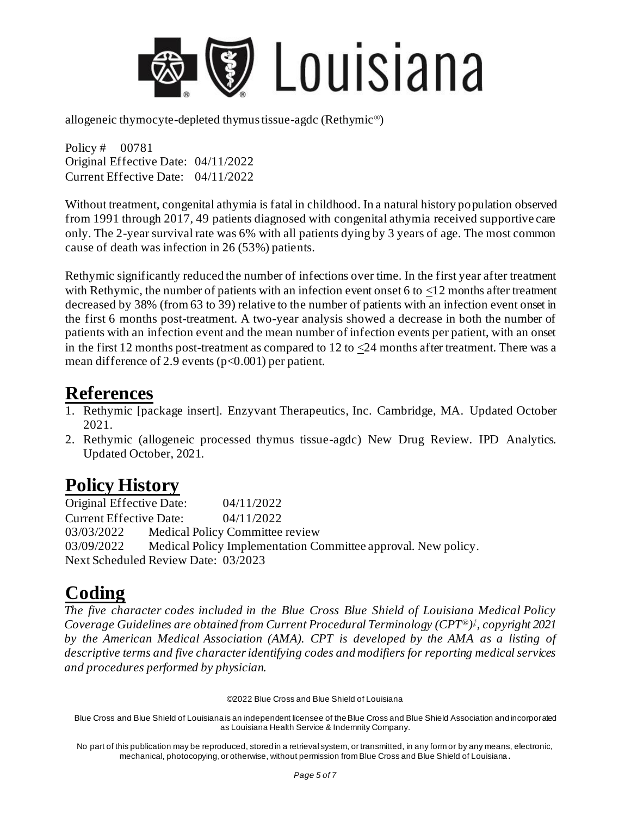

Policy # 00781 Original Effective Date: 04/11/2022 Current Effective Date: 04/11/2022

Without treatment, congenital athymia is fatal in childhood. In a natural history population observed from 1991 through 2017, 49 patients diagnosed with congenital athymia received supportive care only. The 2-year survival rate was 6% with all patients dying by 3 years of age. The most common cause of death was infection in 26 (53%) patients.

Rethymic significantly reduced the number of infections over time. In the first year after treatment with Rethymic, the number of patients with an infection event onset 6 to <12 months after treatment decreased by 38% (from 63 to 39) relative to the number of patients with an infection event onset in the first 6 months post-treatment. A two-year analysis showed a decrease in both the number of patients with an infection event and the mean number of infection events per patient, with an onset in the first 12 months post-treatment as compared to 12 to  $\langle 24 \rangle$  months after treatment. There was a mean difference of 2.9 events (p<0.001) per patient.

#### **References**

- 1. Rethymic [package insert]. Enzyvant Therapeutics, Inc. Cambridge, MA. Updated October 2021.
- 2. Rethymic (allogeneic processed thymus tissue-agdc) New Drug Review. IPD Analytics. Updated October, 2021.

## **Policy History**

Original Effective Date: 04/11/2022 Current Effective Date: 04/11/2022 03/03/2022 Medical Policy Committee review 03/09/2022 Medical Policy Implementation Committee approval. New policy. Next Scheduled Review Date: 03/2023

# **Coding**

*The five character codes included in the Blue Cross Blue Shield of Louisiana Medical Policy Coverage Guidelines are obtained from Current Procedural Terminology (CPT®) ‡ , copyright 2021 by the American Medical Association (AMA). CPT is developed by the AMA as a listing of descriptive terms and five character identifying codes and modifiers for reporting medical services and procedures performed by physician.*

©2022 Blue Cross and Blue Shield of Louisiana

Blue Cross and Blue Shield of Louisiana is an independent licensee of the Blue Cross and Blue Shield Association and incorporated as Louisiana Health Service & Indemnity Company.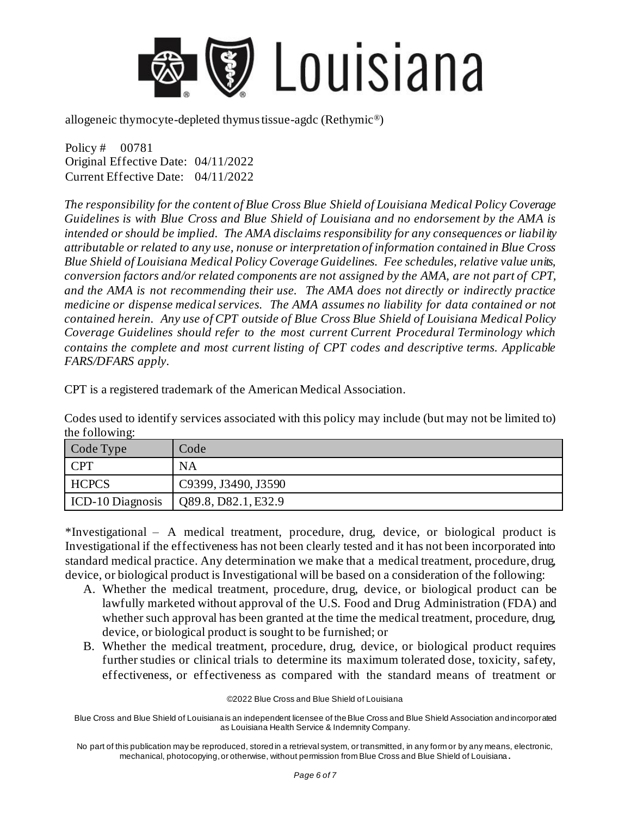

Policy # 00781 Original Effective Date: 04/11/2022 Current Effective Date: 04/11/2022

*The responsibility for the content of Blue Cross Blue Shield of Louisiana Medical Policy Coverage Guidelines is with Blue Cross and Blue Shield of Louisiana and no endorsement by the AMA is intended or should be implied. The AMA disclaims responsibility for any consequences or liability attributable or related to any use, nonuse or interpretation of information contained in Blue Cross Blue Shield of Louisiana Medical Policy Coverage Guidelines. Fee schedules, relative value units, conversion factors and/or related components are not assigned by the AMA, are not part of CPT, and the AMA is not recommending their use. The AMA does not directly or indirectly practice medicine or dispense medical services. The AMA assumes no liability for data contained or not contained herein. Any use of CPT outside of Blue Cross Blue Shield of Louisiana Medical Policy Coverage Guidelines should refer to the most current Current Procedural Terminology which contains the complete and most current listing of CPT codes and descriptive terms. Applicable FARS/DFARS apply.* 

CPT is a registered trademark of the American Medical Association.

Codes used to identify services associated with this policy may include (but may not be limited to) the following:

| Code Type        | Code                |
|------------------|---------------------|
| <b>CPT</b>       | <b>NA</b>           |
| <b>HCPCS</b>     | C9399, J3490, J3590 |
| ICD-10 Diagnosis | Q89.8, D82.1, E32.9 |

\*Investigational – A medical treatment, procedure, drug, device, or biological product is Investigational if the effectiveness has not been clearly tested and it has not been incorporated into standard medical practice. Any determination we make that a medical treatment, procedure, drug, device, or biological product is Investigational will be based on a consideration of the following:

- A. Whether the medical treatment, procedure, drug, device, or biological product can be lawfully marketed without approval of the U.S. Food and Drug Administration (FDA) and whether such approval has been granted at the time the medical treatment, procedure, drug, device, or biological product is sought to be furnished; or
- B. Whether the medical treatment, procedure, drug, device, or biological product requires further studies or clinical trials to determine its maximum tolerated dose, toxicity, safety, effectiveness, or effectiveness as compared with the standard means of treatment or

©2022 Blue Cross and Blue Shield of Louisiana

Blue Cross and Blue Shield of Louisiana is an independent licensee of the Blue Cross and Blue Shield Association and incorporated as Louisiana Health Service & Indemnity Company.

No part of this publication may be reproduced, stored in a retrieval system, or transmitted, in any form or by any means, electronic, mechanical, photocopying, or otherwise, without permission from Blue Cross and Blue Shield of Louisiana **.**